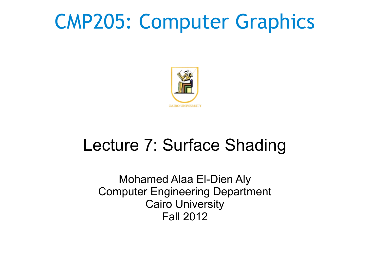### CMP205: Computer Graphics



### Lecture 7: Surface Shading

Mohamed Alaa El-Dien Aly Computer Engineering Department Cairo University Fall 2012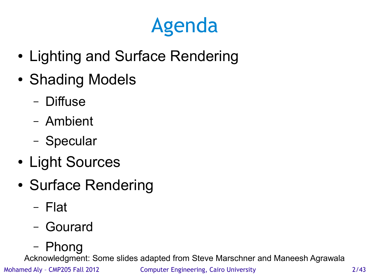### Agenda

- Lighting and Surface Rendering
- Shading Models
	- Diffuse
	- Ambient
	- Specular
- Light Sources
- Surface Rendering
	- Flat
	- Gourard
	- Phong

Acknowledgment: Some slides adapted from Steve Marschner and Maneesh Agrawala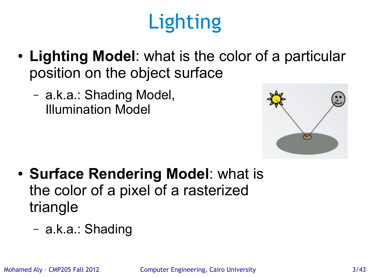# **Lighting**

- Lighting Model: what is the color of a particular position on the object surface
	- a.k.a.: Shading Model, Illumination Model



- **Surface Rendering Model:** what is the color of a pixel of a rasterized triangle
	- a.k.a.: Shading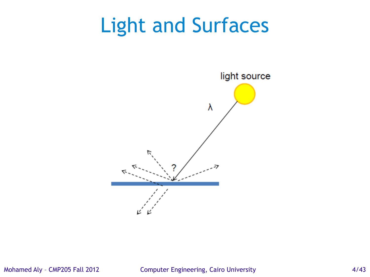

#### Mohamed Aly - CMP205 Fall 2012 Computer Engineering, Cairo University 4/43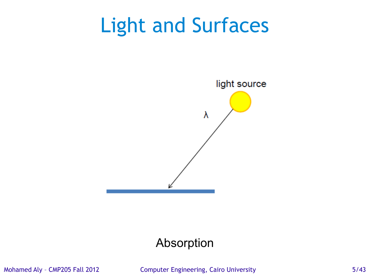

### Absorption

Mohamed Aly - CMP205 Fall 2012 Computer Engineering, Cairo University 6/43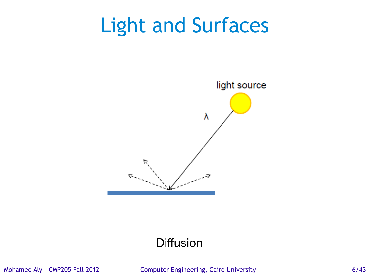

### **Diffusion**

Mohamed Aly - CMP205 Fall 2012 Computer Engineering, Cairo University 6/43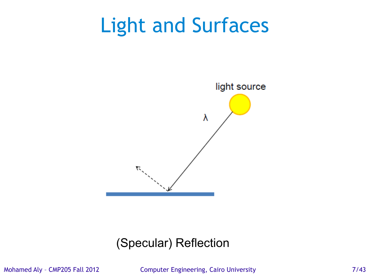

### (Specular) Reflection

Mohamed Aly - CMP205 Fall 2012 Computer Engineering, Cairo University 7/43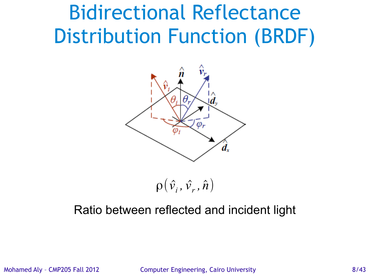### Bidirectional Reflectance Distribution Function (BRDF)



 $\rho\big(\hat{v_{_i}},\hat{v_{_r}},\hat{n}\big)$ 

### Ratio between reflected and incident light

Mohamed Aly - CMP205 Fall 2012 Computer Engineering, Cairo University 6/43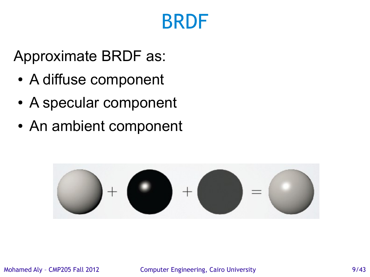### BRDF

Approximate BRDF as:

- A diffuse component
- A specular component
- An ambient component



Mohamed Aly - CMP205 Fall 2012 Computer Engineering, Cairo University 6/43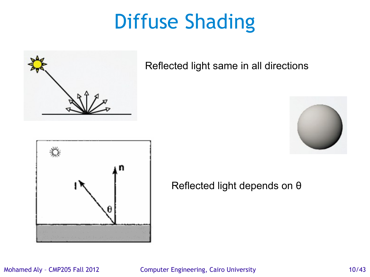

Reflected light same in all directions





Reflected light depends on θ

#### Mohamed Aly - CMP205 Fall 2012 Computer Engineering, Cairo University 10/43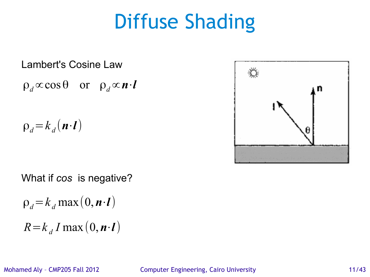#### Lambert's Cosine Law

$$
\rho_d \propto \cos \theta
$$
 or  $\rho_d \propto n \cdot l$ 

 $\rho_d = k_d (n \cdot l)$ 



$$
\rho_d = k_d \max(0, \mathbf{n} \cdot \mathbf{l})
$$

$$
R = k_d I \max(0, \mathbf{n} \cdot \mathbf{l})
$$

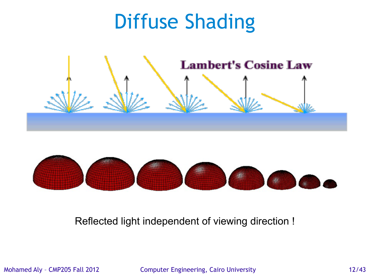



#### Reflected light independent of viewing direction !

Mohamed Aly - CMP205 Fall 2012 Computer Engineering, Cairo University 12/43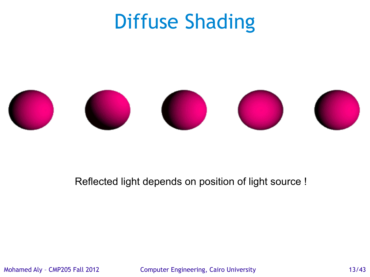

#### Reflected light depends on position of light source !

Mohamed Aly – CMP205 Fall 2012 Computer Engineering, Cairo University 13/43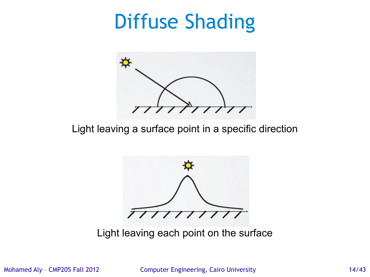

Light leaving a surface point in a specific direction



Light leaving each point on the surface

Mohamed Aly – CMP205 Fall 2012 Computer Engineering, Cairo University 14/43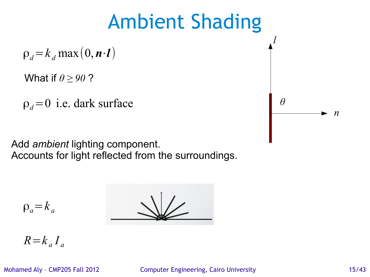# Ambient Shading  $\rho_d = k_d \max(0, n \cdot l)$

What if *θ ≥ 90* ?

 $\rho_d = 0$  i.e. dark surface  $\theta$ 

Add *ambient* lighting component. Accounts for light reflected from the surroundings.

$$
\underline{\phantom{a}}\underline{\phantom{a}}
$$

$$
\rho_a = k_a
$$

$$
R = k_a I_a
$$

Mohamed Aly - CMP205 Fall 2012 Computer Engineering, Cairo University 15/43

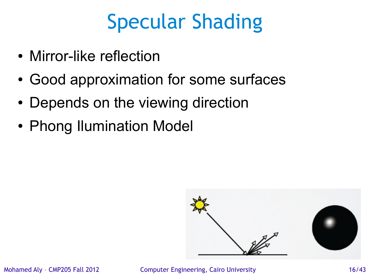- Mirror-like reflection
- Good approximation for some surfaces
- Depends on the viewing direction
- Phong Ilumination Model



Mohamed Aly – CMP205 Fall 2012 Computer Engineering, Cairo University 16/43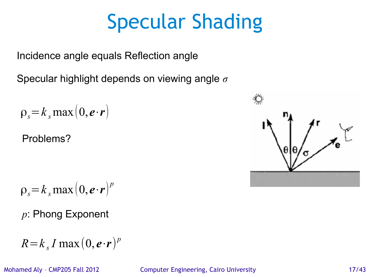Incidence angle equals Reflection angle

Specular highlight depends on viewing angle *σ*

$$
\rho_s = k_s \max\left(0, \boldsymbol{e} \cdot \boldsymbol{r}\right)
$$

Problems?

$$
\rho_s = k_s \max\left(0, \boldsymbol{e} \cdot \boldsymbol{r}\right)^p
$$

*p*: Phong Exponent

$$
R = k_s I \max(0, e \cdot r)^p
$$

Mohamed Aly - CMP205 Fall 2012 Computer Engineering, Cairo University 17/43

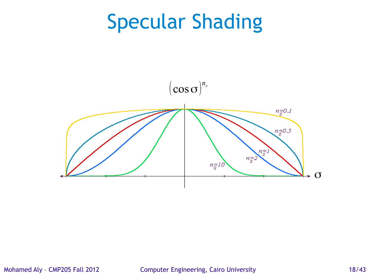

Mohamed Aly – CMP205 Fall 2012 Computer Engineering, Cairo University 18/43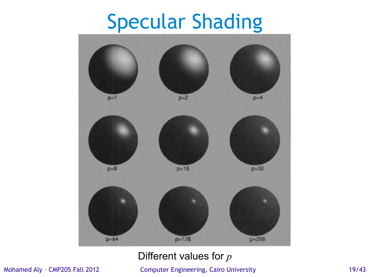

#### Different values for *p*

Mohamed Aly - CMP205 Fall 2012 Computer Engineering, Cairo University 19/43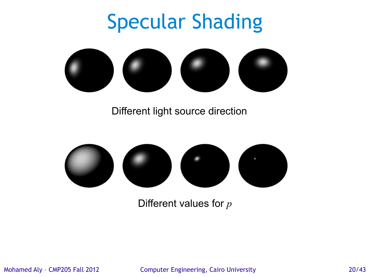

Different light source direction



Different values for *p*

Mohamed Aly – CMP205 Fall 2012 Computer Engineering, Cairo University 20/43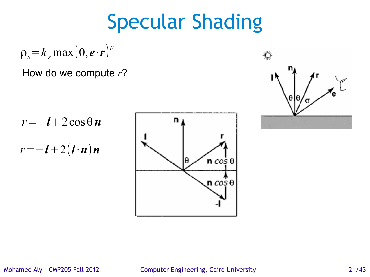$$
\rho_s = k_s \max\left(0, \boldsymbol{e} \cdot \boldsymbol{r}\right)^p
$$

#### How do we compute *r*?

*r*=−*l*+2cosθ *n*

*r*=−*l*+2(*l*⋅*n*)*n*





Mohamed Aly – CMP205 Fall 2012 Computer Engineering, Cairo University 21/43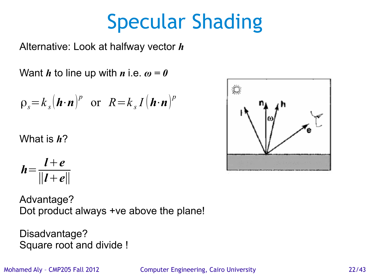# Mohamed Aly – CMP205 Fall 2012 Computer Engineering, Cairo University 22/43

### Specular Shading

Alternative: Look at halfway vector *h*

Want *h* to line up with *n* i.e.  $\omega = 0$ 

$$
\rho_s = k_s (\boldsymbol{h} \cdot \boldsymbol{n})^p
$$
 or  $R = k_s I (\boldsymbol{h} \cdot \boldsymbol{n})^p$ 

What is *h*?

$$
h=\frac{l+e}{\|l+e\|}
$$

Advantage? Dot product always +ve above the plane!

Disadvantage? Square root and divide !

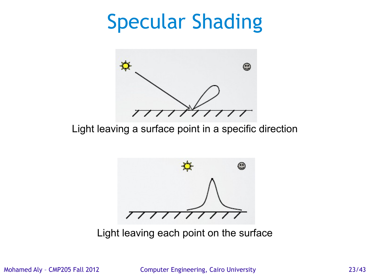

Light leaving a surface point in a specific direction



Light leaving each point on the surface

Mohamed Aly – CMP205 Fall 2012 Computer Engineering, Cairo University 23/43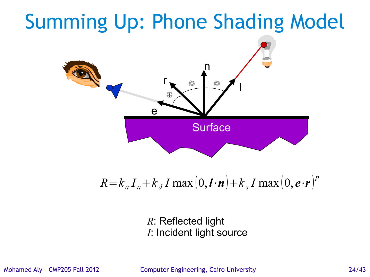### Summing Up: Phone Shading Model n l r e ₩ **Surface**

 $R = k_a I_a + k_d I \max(0, l \cdot n) + k_s I \max(0, e \cdot r)^p$ 

*R*: Reflected light *I*: Incident light source

Mohamed Aly – CMP205 Fall 2012 Computer Engineering, Cairo University 24/43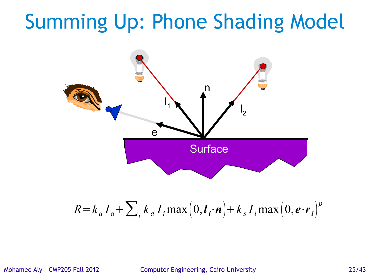### Summing Up: Phone Shading Model



$$
R = k_a I_a + \sum_i k_d I_i \max\left(0, l_i \cdot n\right) + k_s I_i \max\left(0, e \cdot r_i\right)^p
$$

Mohamed Aly – CMP205 Fall 2012 Computer Engineering, Cairo University 25/43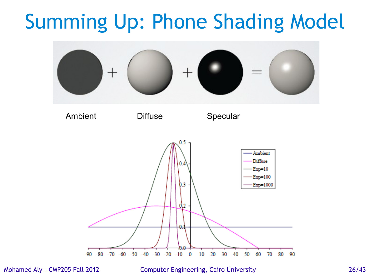### Summing Up: Phone Shading Model



Mohamed Aly – CMP205 Fall 2012 Computer Engineering, Cairo University 26/43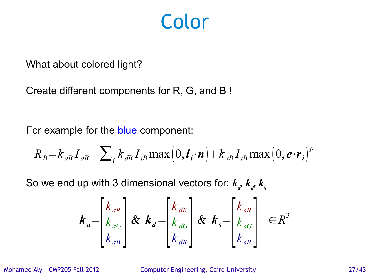### Color

What about colored light?

Create different components for R, G, and B !

For example for the blue component:

$$
R_{B} = k_{aB} I_{aB} + \sum_{i} k_{i} I_{iB} \max\left(0, \mathbf{I}_{i} \cdot \mathbf{n}\right) + k_{sB} I_{iB} \max\left(0, \mathbf{e} \cdot \mathbf{r}_{i}\right)^{p}
$$

So we end up with 3 dimensional vectors for:  $k_{a}$ ,  $k_{a}$ ,  $k_{s}$ 

$$
\boldsymbol{k}_{a} = \begin{bmatrix} k_{aR} \\ k_{aG} \\ k_{aB} \end{bmatrix} \& \boldsymbol{k}_{d} = \begin{bmatrix} k_{dR} \\ k_{dG} \\ k_{dB} \end{bmatrix} \& \boldsymbol{k}_{s} = \begin{bmatrix} k_{sR} \\ k_{sG} \\ k_{sB} \end{bmatrix} \in R^{3}
$$

Mohamed Aly – CMP205 Fall 2012 Computer Engineering, Cairo University 27/43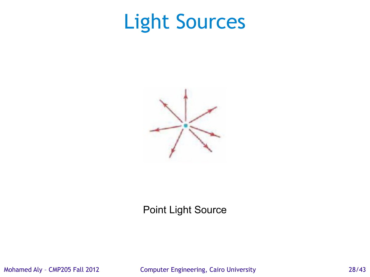### Light Sources



#### Point Light Source

Mohamed Aly – CMP205 Fall 2012 Computer Engineering, Cairo University 28/43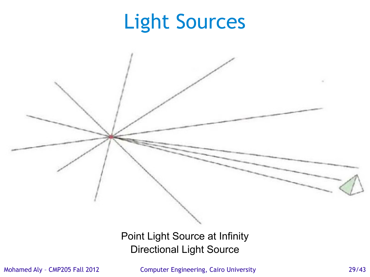### Light Sources

Point Light Source at Infinity Directional Light Source

Mohamed Aly – CMP205 Fall 2012 Computer Engineering, Cairo University 29/43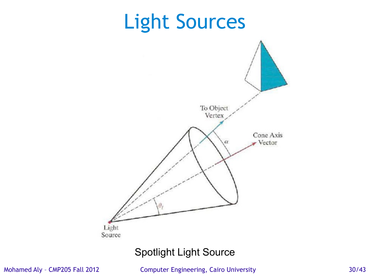

Spotlight Light Source

Mohamed Aly - CMP205 Fall 2012 Computer Engineering, Cairo University 30/43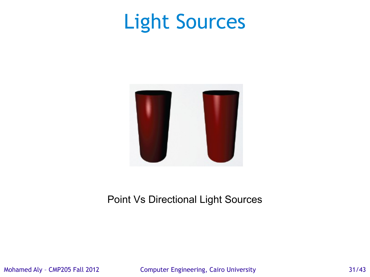### Light Sources



#### Point Vs Directional Light Sources

Mohamed Aly - CMP205 Fall 2012 Computer Engineering, Cairo University 31/43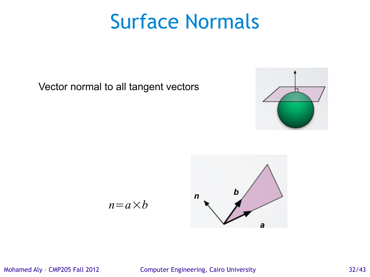### Surface Normals

Vector normal to all tangent vectors





$$
n = a \times b
$$

#### Mohamed Aly – CMP205 Fall 2012 Computer Engineering, Cairo University 32/43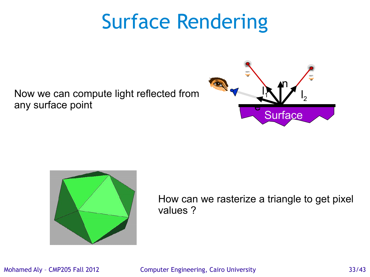### Surface Rendering

Now we can compute light reflected from any surface point





How can we rasterize a triangle to get pixel values ?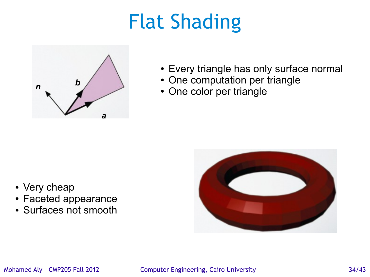## Flat Shading



- Every triangle has only surface normal
- One computation per triangle
- One color per triangle

- Very cheap
- Faceted appearance
- Surfaces not smooth

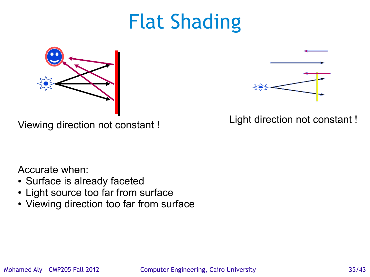### Flat Shading



Light direction not constant ! Viewing direction not constant !



Accurate when:

- Surface is already faceted
- Light source too far from surface
- Viewing direction too far from surface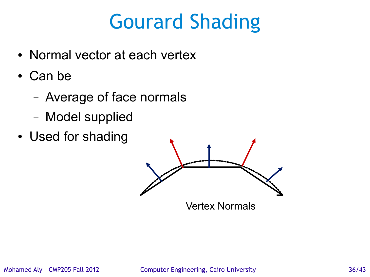### Gourard Shading

- Normal vector at each vertex
- Can be
	- Average of face normals
	- Model supplied
- Used for shading



Vertex Normals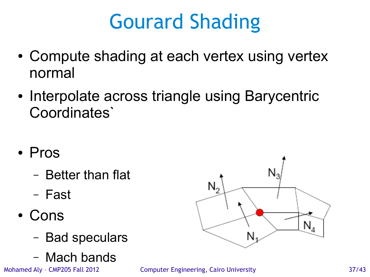## Gourard Shading

- Compute shading at each vertex using vertex normal
- Interpolate across triangle using Barycentric Coordinates`
- Pros
	- Better than flat
	- Fast
- Cons
	- Bad speculars
	- Mach bands

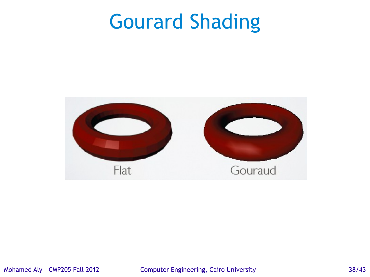### Gourard Shading



Mohamed Aly - CMP205 Fall 2012 Computer Engineering, Cairo University 38/43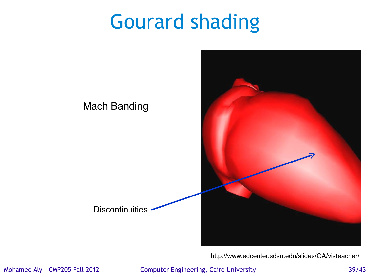### Gourard shading



<http://www.edcenter.sdsu.edu/slides/GA/visteacher/>

Mohamed Aly - CMP205 Fall 2012 Computer Engineering, Cairo University 39/43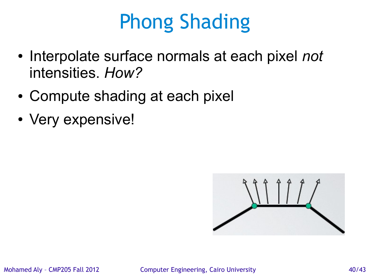## Phong Shading

- Interpolate surface normals at each pixel *not* intensities. *How?*
- Compute shading at each pixel
- Very expensive!

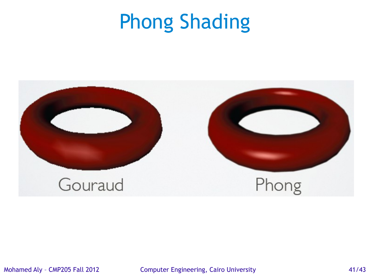### Phong Shading



Mohamed Aly – CMP205 Fall 2012 Computer Engineering, Cairo University 41/43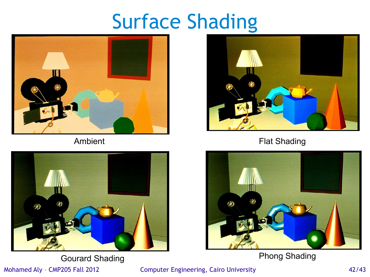### Surface Shading





Gourard Shading **Phong Shading** 

Mohamed Aly – CMP205 Fall 2012 Computer Engineering, Cairo University 42/43



Ambient **Flat Shading**